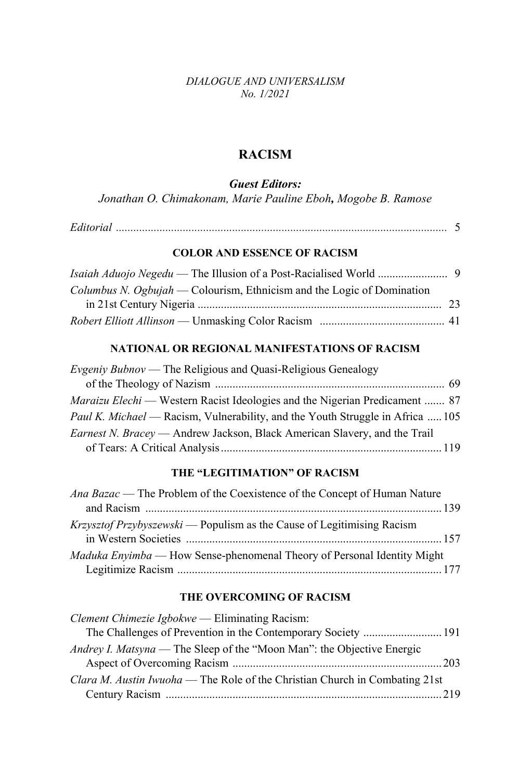*DIALOGUE AND UNIVERSALISM No. 1/2021* 

## **RACISM**

*Guest Editors:* 

*Jonathan O. Chimakonam, Marie Pauline Eboh, Mogobe B. Ramose* 

#### **COLOR AND ESSENCE OF RACISM**

| <i>Columbus N. Ogbujah</i> — Colourism, Ethnicism and the Logic of Domination |  |
|-------------------------------------------------------------------------------|--|
|                                                                               |  |
|                                                                               |  |

### **NATIONAL OR REGIONAL MANIFESTATIONS OF RACISM**

| <i>Evgeniy Bubnov</i> — The Religious and Quasi-Religious Genealogy                   |  |
|---------------------------------------------------------------------------------------|--|
|                                                                                       |  |
| <i>Maraizu Elechi</i> — Western Racist Ideologies and the Nigerian Predicament  87    |  |
| <i>Paul K. Michael</i> — Racism, Vulnerability, and the Youth Struggle in Africa  105 |  |
| <i>Earnest N. Bracey</i> — Andrew Jackson, Black American Slavery, and the Trail      |  |
|                                                                                       |  |

#### THE "LEGITIMATION" OF RACISM

| Ana Bazac — The Problem of the Coexistence of the Concept of Human Nature     |  |
|-------------------------------------------------------------------------------|--|
|                                                                               |  |
| <i>Krzysztof Przybyszewski</i> — Populism as the Cause of Legitimising Racism |  |
|                                                                               |  |
| Maduka Enyimba — How Sense-phenomenal Theory of Personal Identity Might       |  |
|                                                                               |  |

#### **THE OVERCOMING OF RACISM**

| <i>Clement Chimezie Igbokwe</i> — Eliminating Racism:                         |  |
|-------------------------------------------------------------------------------|--|
|                                                                               |  |
| <i>Andrey I. Matsyna</i> — The Sleep of the "Moon Man": the Objective Energic |  |
|                                                                               |  |
| Clara M. Austin Iwuoha — The Role of the Christian Church in Combating 21st   |  |
|                                                                               |  |